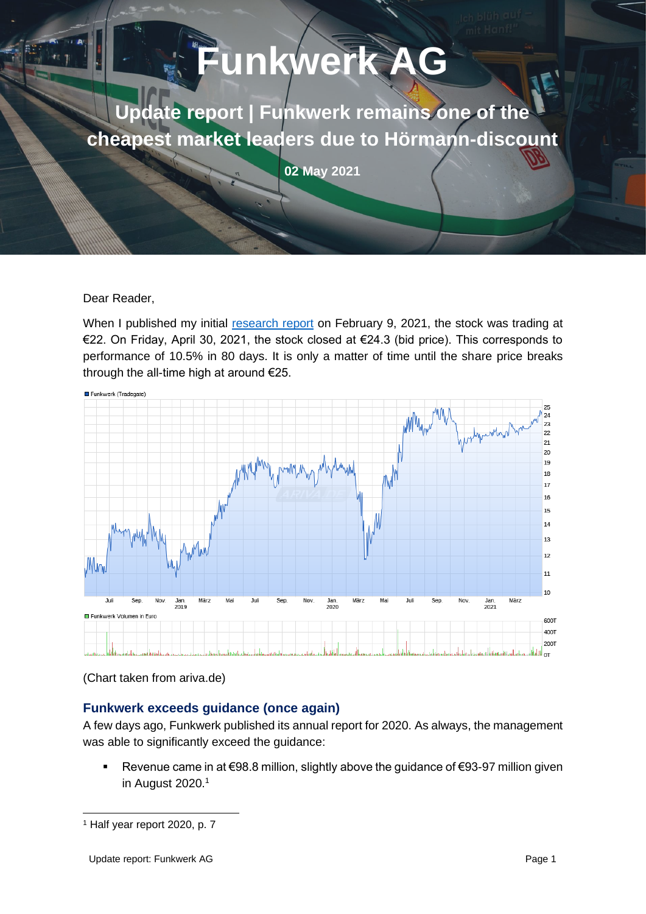# **Funkwerk A Update report | Funkwerk remains one of the cheapest market leaders due to Hörmann-discount 02 May 2021**

#### Dear Reader,

When I published my initial [research report](https://stock-market-research.com/funkwerk/) on February 9, 2021, the stock was trading at €22. On Friday, April 30, 2021, the stock closed at €24.3 (bid price). This corresponds to performance of 10.5% in 80 days. It is only a matter of time until the share price breaks through the all-time high at around €25.



(Chart taken from ariva.de)

# **Funkwerk exceeds guidance (once again)**

A few days ago, Funkwerk published its annual report for 2020. As always, the management was able to significantly exceed the guidance:

■ Revenue came in at €98.8 million, slightly above the guidance of €93-97 million given in August 2020.<sup>1</sup>

<sup>1</sup> Half year report 2020, p. 7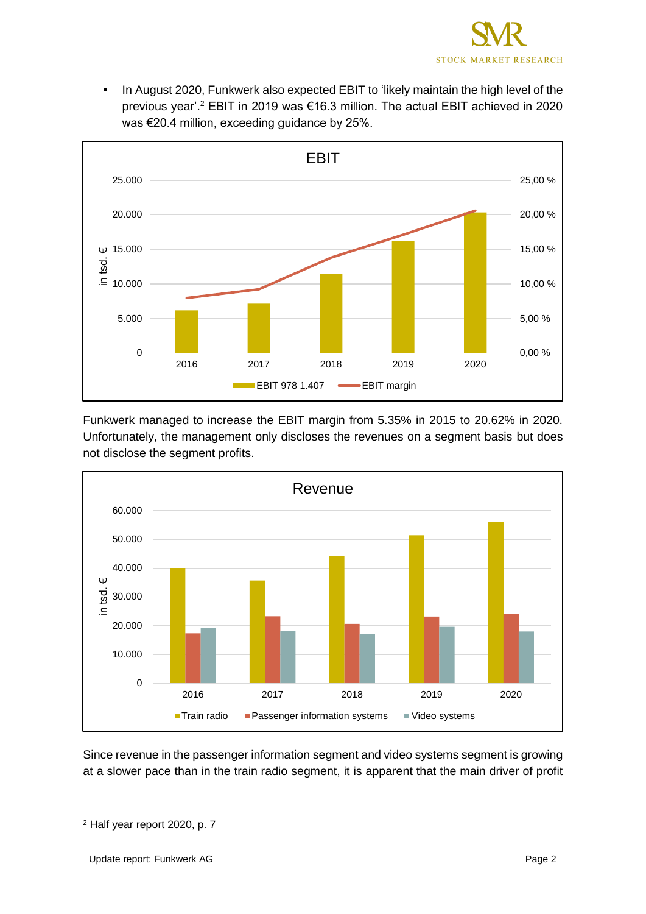

In August 2020, Funkwerk also expected EBIT to 'likely maintain the high level of the previous year'.<sup>2</sup> EBIT in 2019 was €16.3 million. The actual EBIT achieved in 2020 was €20.4 million, exceeding guidance by 25%.



Funkwerk managed to increase the EBIT margin from 5.35% in 2015 to 20.62% in 2020. Unfortunately, the management only discloses the revenues on a segment basis but does not disclose the segment profits.



Since revenue in the passenger information segment and video systems segment is growing at a slower pace than in the train radio segment, it is apparent that the main driver of profit

<sup>2</sup> Half year report 2020, p. 7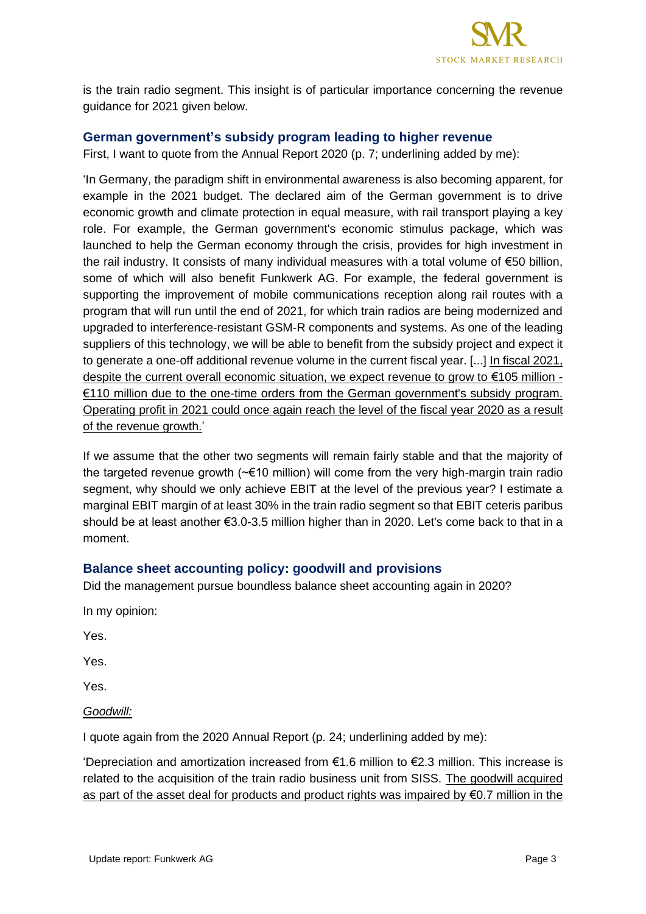

is the train radio segment. This insight is of particular importance concerning the revenue guidance for 2021 given below.

# **German government's subsidy program leading to higher revenue**

First, I want to quote from the Annual Report 2020 (p. 7; underlining added by me):

'In Germany, the paradigm shift in environmental awareness is also becoming apparent, for example in the 2021 budget. The declared aim of the German government is to drive economic growth and climate protection in equal measure, with rail transport playing a key role. For example, the German government's economic stimulus package, which was launched to help the German economy through the crisis, provides for high investment in the rail industry. It consists of many individual measures with a total volume of €50 billion, some of which will also benefit Funkwerk AG. For example, the federal government is supporting the improvement of mobile communications reception along rail routes with a program that will run until the end of 2021, for which train radios are being modernized and upgraded to interference-resistant GSM-R components and systems. As one of the leading suppliers of this technology, we will be able to benefit from the subsidy project and expect it to generate a one-off additional revenue volume in the current fiscal year. [...] In fiscal 2021, despite the current overall economic situation, we expect revenue to grow to €105 million - €110 million due to the one-time orders from the German government's subsidy program. Operating profit in 2021 could once again reach the level of the fiscal year 2020 as a result of the revenue growth.'

If we assume that the other two segments will remain fairly stable and that the majority of the targeted revenue growth (~€10 million) will come from the very high-margin train radio segment, why should we only achieve EBIT at the level of the previous year? I estimate a marginal EBIT margin of at least 30% in the train radio segment so that EBIT ceteris paribus should be at least another €3.0-3.5 million higher than in 2020. Let's come back to that in a moment.

# **Balance sheet accounting policy: goodwill and provisions**

Did the management pursue boundless balance sheet accounting again in 2020?

In my opinion:

Yes.

Yes.

Yes.

*Goodwill:*

I quote again from the 2020 Annual Report (p. 24; underlining added by me):

'Depreciation and amortization increased from €1.6 million to €2.3 million. This increase is related to the acquisition of the train radio business unit from SISS. The goodwill acquired as part of the asset deal for products and product rights was impaired by  $\epsilon$ 0.7 million in the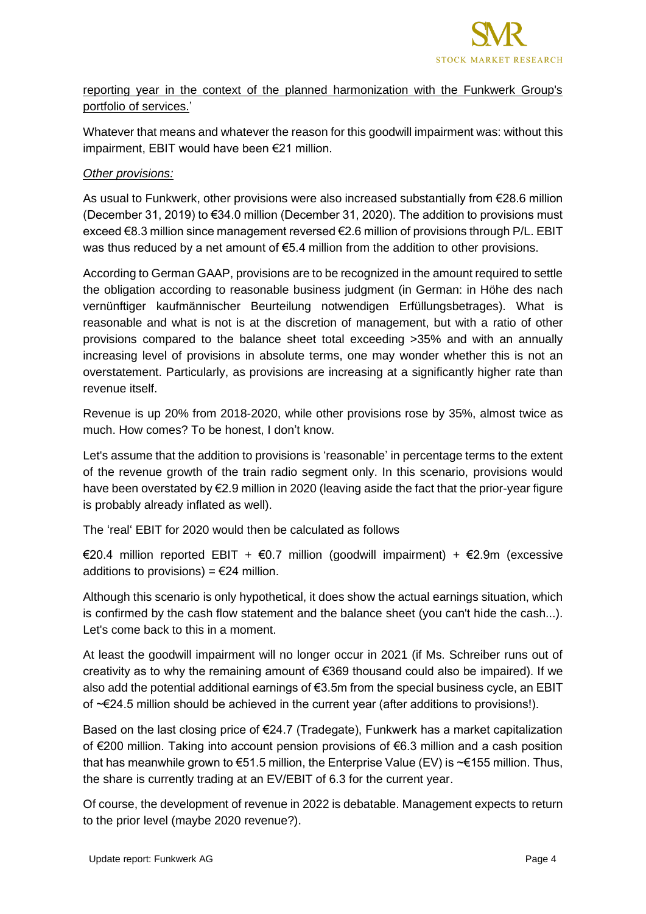

reporting year in the context of the planned harmonization with the Funkwerk Group's portfolio of services.'

Whatever that means and whatever the reason for this goodwill impairment was: without this impairment, EBIT would have been €21 million.

#### *Other provisions:*

As usual to Funkwerk, other provisions were also increased substantially from €28.6 million (December 31, 2019) to €34.0 million (December 31, 2020). The addition to provisions must exceed €8.3 million since management reversed €2.6 million of provisions through P/L. EBIT was thus reduced by a net amount of €5.4 million from the addition to other provisions.

According to German GAAP, provisions are to be recognized in the amount required to settle the obligation according to reasonable business judgment (in German: in Höhe des nach vernünftiger kaufmännischer Beurteilung notwendigen Erfüllungsbetrages). What is reasonable and what is not is at the discretion of management, but with a ratio of other provisions compared to the balance sheet total exceeding >35% and with an annually increasing level of provisions in absolute terms, one may wonder whether this is not an overstatement. Particularly, as provisions are increasing at a significantly higher rate than revenue itself.

Revenue is up 20% from 2018-2020, while other provisions rose by 35%, almost twice as much. How comes? To be honest, I don't know.

Let's assume that the addition to provisions is 'reasonable' in percentage terms to the extent of the revenue growth of the train radio segment only. In this scenario, provisions would have been overstated by €2.9 million in 2020 (leaving aside the fact that the prior-year figure is probably already inflated as well).

The 'real' EBIT for 2020 would then be calculated as follows

€20.4 million reported EBIT + €0.7 million (goodwill impairment) + €2.9m (excessive additions to provisions) =  $E$ 24 million.

Although this scenario is only hypothetical, it does show the actual earnings situation, which is confirmed by the cash flow statement and the balance sheet (you can't hide the cash...). Let's come back to this in a moment.

At least the goodwill impairment will no longer occur in 2021 (if Ms. Schreiber runs out of creativity as to why the remaining amount of €369 thousand could also be impaired). If we also add the potential additional earnings of  $\epsilon$ 3.5m from the special business cycle, an EBIT of ~€24.5 million should be achieved in the current year (after additions to provisions!).

Based on the last closing price of €24.7 (Tradegate), Funkwerk has a market capitalization of €200 million. Taking into account pension provisions of €6.3 million and a cash position that has meanwhile grown to  $\epsilon$ 51.5 million, the Enterprise Value (EV) is ~ $\epsilon$ 155 million. Thus, the share is currently trading at an EV/EBIT of 6.3 for the current year.

Of course, the development of revenue in 2022 is debatable. Management expects to return to the prior level (maybe 2020 revenue?).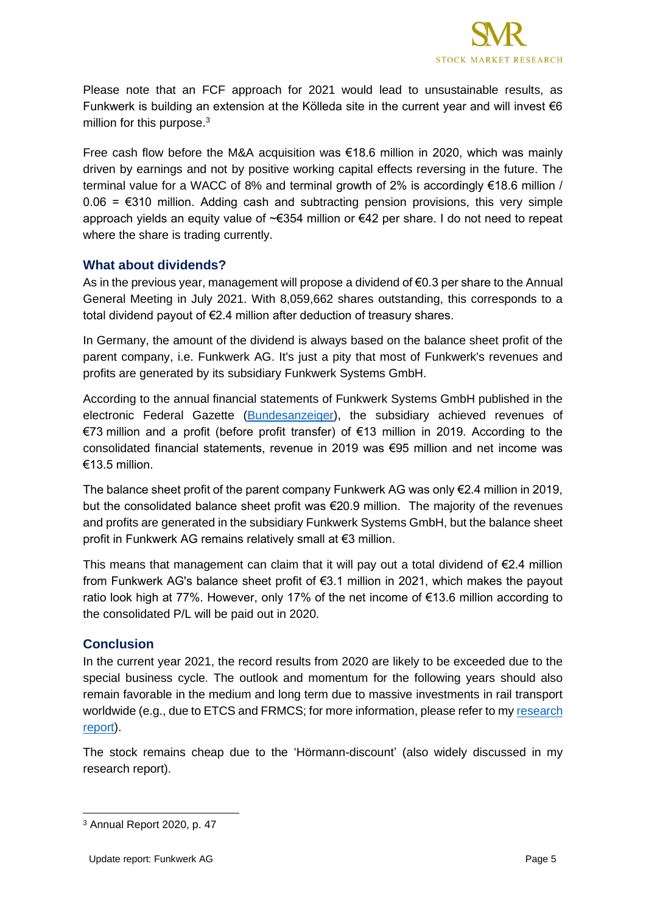

Please note that an FCF approach for 2021 would lead to unsustainable results, as Funkwerk is building an extension at the Kölleda site in the current year and will invest  $\epsilon$ 6 million for this purpose. $3$ 

Free cash flow before the M&A acquisition was €18.6 million in 2020, which was mainly driven by earnings and not by positive working capital effects reversing in the future. The terminal value for a WACC of 8% and terminal growth of 2% is accordingly €18.6 million /  $0.06 = $310$  million. Adding cash and subtracting pension provisions, this very simple approach yields an equity value of ~€354 million or €42 per share. I do not need to repeat where the share is trading currently.

# **What about dividends?**

As in the previous year, management will propose a dividend of  $\epsilon$ 0.3 per share to the Annual General Meeting in July 2021. With 8,059,662 shares outstanding, this corresponds to a total dividend payout of €2.4 million after deduction of treasury shares.

In Germany, the amount of the dividend is always based on the balance sheet profit of the parent company, i.e. Funkwerk AG. It's just a pity that most of Funkwerk's revenues and profits are generated by its subsidiary Funkwerk Systems GmbH.

According to the annual financial statements of Funkwerk Systems GmbH published in the electronic Federal Gazette [\(Bundesanzeiger\)](https://www.bundesanzeiger.de/pub/de/start?3), the subsidiary achieved revenues of €73 million and a profit (before profit transfer) of €13 million in 2019. According to the consolidated financial statements, revenue in 2019 was €95 million and net income was €13.5 million.

The balance sheet profit of the parent company Funkwerk AG was only  $\epsilon$ 2.4 million in 2019, but the consolidated balance sheet profit was €20.9 million. The majority of the revenues and profits are generated in the subsidiary Funkwerk Systems GmbH, but the balance sheet profit in Funkwerk AG remains relatively small at €3 million.

This means that management can claim that it will pay out a total dividend of  $E2.4$  million from Funkwerk AG's balance sheet profit of €3.1 million in 2021, which makes the payout ratio look high at 77%. However, only 17% of the net income of  $\epsilon$ 13.6 million according to the consolidated P/L will be paid out in 2020.

#### **Conclusion**

In the current year 2021, the record results from 2020 are likely to be exceeded due to the special business cycle. The outlook and momentum for the following years should also remain favorable in the medium and long term due to massive investments in rail transport worldwide (e.g., due to ETCS and FRMCS; for more information, please refer to my [research](https://stock-market-research.com/funkwerk/)  [report\)](https://stock-market-research.com/funkwerk/).

The stock remains cheap due to the 'Hörmann-discount' (also widely discussed in my research report).

<sup>3</sup> Annual Report 2020, p. 47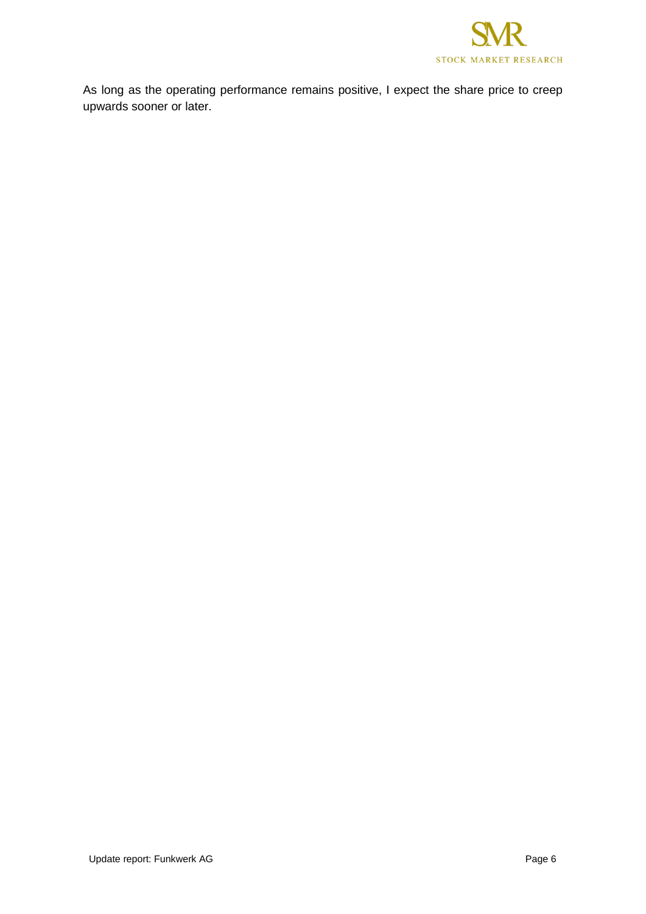

As long as the operating performance remains positive, I expect the share price to creep upwards sooner or later.